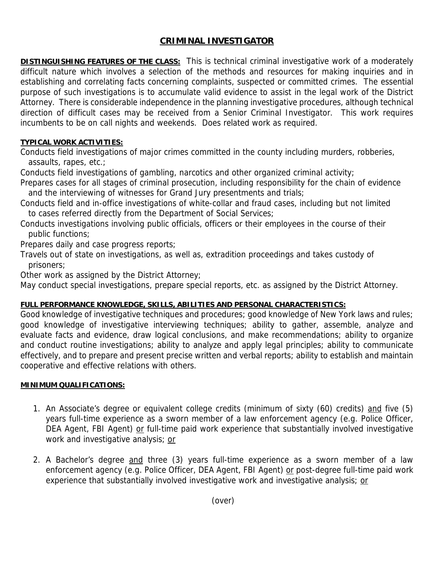# **CRIMINAL INVESTIGATOR**

**DISTINGUISHING FEATURES OF THE CLASS:** This is technical criminal investigative work of a moderately difficult nature which involves a selection of the methods and resources for making inquiries and in establishing and correlating facts concerning complaints, suspected or committed crimes. The essential purpose of such investigations is to accumulate valid evidence to assist in the legal work of the District Attorney. There is considerable independence in the planning investigative procedures, although technical direction of difficult cases may be received from a Senior Criminal Investigator. This work requires incumbents to be on call nights and weekends. Does related work as required.

## **TYPICAL WORK ACTIVITIES:**

Conducts field investigations of major crimes committed in the county including murders, robberies, assaults, rapes, etc.;

Conducts field investigations of gambling, narcotics and other organized criminal activity;

Prepares cases for all stages of criminal prosecution, including responsibility for the chain of evidence and the interviewing of witnesses for Grand Jury presentments and trials;

Conducts field and in-office investigations of white-collar and fraud cases, including but not limited to cases referred directly from the Department of Social Services;

Conducts investigations involving public officials, officers or their employees in the course of their public functions;

Prepares daily and case progress reports;

Travels out of state on investigations, as well as, extradition proceedings and takes custody of prisoners;

Other work as assigned by the District Attorney;

May conduct special investigations, prepare special reports, etc. as assigned by the District Attorney.

## **FULL PERFORMANCE KNOWLEDGE, SKILLS, ABILITIES AND PERSONAL CHARACTERISTICS:**

Good knowledge of investigative techniques and procedures; good knowledge of New York laws and rules; good knowledge of investigative interviewing techniques; ability to gather, assemble, analyze and evaluate facts and evidence, draw logical conclusions, and make recommendations; ability to organize and conduct routine investigations; ability to analyze and apply legal principles; ability to communicate effectively, and to prepare and present precise written and verbal reports; ability to establish and maintain cooperative and effective relations with others.

### **MINIMUM QUALIFICATIONS:**

- 1. An Associate's degree or equivalent college credits (minimum of sixty (60) credits) and five (5) years full-time experience as a sworn member of a law enforcement agency (e.g. Police Officer, DEA Agent, FBI Agent) or full-time paid work experience that substantially involved investigative work and investigative analysis; or
- 2. A Bachelor's degree and three (3) years full-time experience as a sworn member of a law enforcement agency (e.g. Police Officer, DEA Agent, FBI Agent) or post-degree full-time paid work experience that substantially involved investigative work and investigative analysis; or